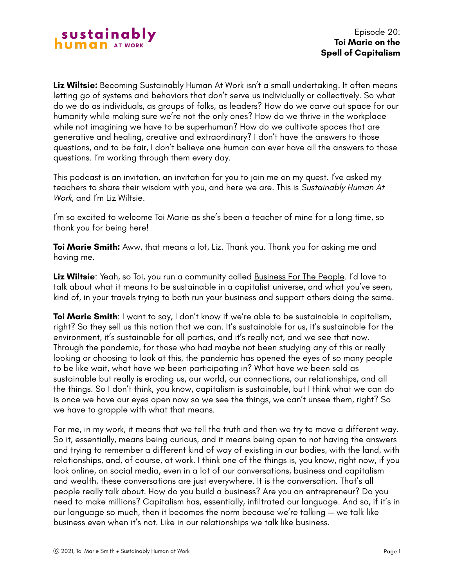

**Liz Wiltsie:** Becoming Sustainably Human At Work isn't a small undertaking. It often means letting go of systems and behaviors that don't serve us individually or collectively. So what do we do as individuals, as groups of folks, as leaders? How do we carve out space for our humanity while making sure we're not the only ones? How do we thrive in the workplace while not imagining we have to be superhuman? How do we cultivate spaces that are generative and healing, creative and extraordinary? I don't have the answers to those questions, and to be fair, I don't believe one human can ever have all the answers to those questions. I'm working through them every day.

This podcast is an invitation, an invitation for you to join me on my quest. I've asked my teachers to share their wisdom with you, and here we are. This is *Sustainably Human At Work*, and I'm Liz Wiltsie.

I'm so excited to welcome Toi Marie as she's been a teacher of mine for a long time, so thank you for being here!

**Toi Marie Smith:** Aww, that means a lot, Liz. Thank you. Thank you for asking me and having me.

**Liz Wiltsie**: Yeah, so Toi, you run a community called [Business For The People.](https://www.businessforthepeople.com/) I'd love to talk about what it means to be sustainable in a capitalist universe, and what you've seen, kind of, in your travels trying to both run your business and support others doing the same.

**Toi Marie Smith**: I want to say, I don't know if we're able to be sustainable in capitalism, right? So they sell us this notion that we can. It's sustainable for us, it's sustainable for the environment, it's sustainable for all parties, and it's really not, and we see that now. Through the pandemic, for those who had maybe not been studying any of this or really looking or choosing to look at this, the pandemic has opened the eyes of so many people to be like wait, what have we been participating in? What have we been sold as sustainable but really is eroding us, our world, our connections, our relationships, and all the things. So I don't think, you know, capitalism is sustainable, but I think what we can do is once we have our eyes open now so we see the things, we can't unsee them, right? So we have to grapple with what that means.

For me, in my work, it means that we tell the truth and then we try to move a different way. So it, essentially, means being curious, and it means being open to not having the answers and trying to remember a different kind of way of existing in our bodies, with the land, with relationships, and, of course, at work. I think one of the things is, you know, right now, if you look online, on social media, even in a lot of our conversations, business and capitalism and wealth, these conversations are just everywhere. It is the conversation. That's all people really talk about. How do you build a business? Are you an entrepreneur? Do you need to make millions? Capitalism has, essentially, infiltrated our language. And so, if it's in our language so much, then it becomes the norm because we're talking — we talk like business even when it's not. Like in our relationships we talk like business.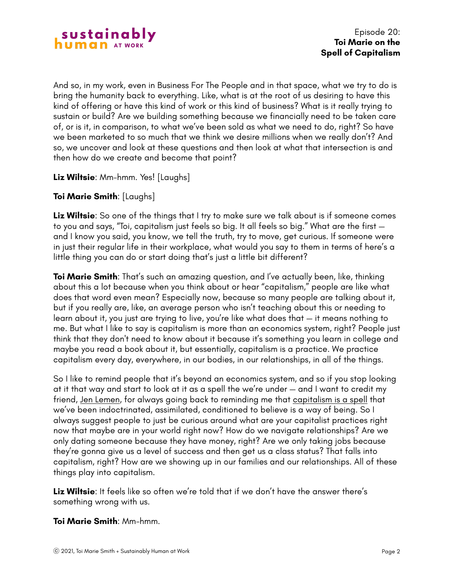

And so, in my work, even in Business For The People and in that space, what we try to do is bring the humanity back to everything. Like, what is at the root of us desiring to have this kind of offering or have this kind of work or this kind of business? What is it really trying to sustain or build? Are we building something because we financially need to be taken care of, or is it, in comparison, to what we've been sold as what we need to do, right? So have we been marketed to so much that we think we desire millions when we really don't? And so, we uncover and look at these questions and then look at what that intersection is and then how do we create and become that point?

## **Liz Wiltsie**: Mm-hmm. Yes! [Laughs]

# **Toi Marie Smith**: [Laughs]

**Liz Wiltsie**: So one of the things that I try to make sure we talk about is if someone comes to you and says, "Toi, capitalism just feels so big. It all feels so big." What are the first and I know you said, you know, we tell the truth, try to move, get curious. If someone were in just their regular life in their workplace, what would you say to them in terms of here's a little thing you can do or start doing that's just a little bit different?

**Toi Marie Smith**: That's such an amazing question, and I've actually been, like, thinking about this a lot because when you think about or hear "capitalism," people are like what does that word even mean? Especially now, because so many people are talking about it, but if you really are, like, an average person who isn't teaching about this or needing to learn about it, you just are trying to live, you're like what does that — it means nothing to me. But what I like to say is capitalism is more than an economics system, right? People just think that they don't need to know about it because it's something you learn in college and maybe you read a book about it, but essentially, capitalism is a practice. We practice capitalism every day, everywhere, in our bodies, in our relationships, in all of the things.

So I like to remind people that it's beyond an economics system, and so if you stop looking at it that way and start to look at it as a spell the we're under — and I want to credit my friend, [Jen Lemen,](https://www.instagram.com/jenlemen/) for always going back to reminding me that [capitalism is a spell](https://www.spellofcapitalism.com/) that we've been indoctrinated, assimilated, conditioned to believe is a way of being. So I always suggest people to just be curious around what are your capitalist practices right now that maybe are in your world right now? How do we navigate relationships? Are we only dating someone because they have money, right? Are we only taking jobs because they're gonna give us a level of success and then get us a class status? That falls into capitalism, right? How are we showing up in our families and our relationships. All of these things play into capitalism.

**Liz Wiltsie**: It feels like so often we're told that if we don't have the answer there's something wrong with us.

### **Toi Marie Smith**: Mm-hmm.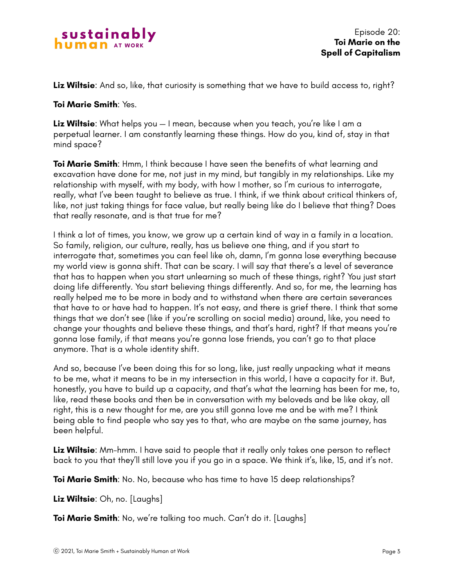

Episode 20: **Toi Marie on the Spell of Capitalism**

**Liz Wiltsie**: And so, like, that curiosity is something that we have to build access to, right?

#### **Toi Marie Smith**: Yes.

**Liz Wiltsie**: What helps you — I mean, because when you teach, you're like I am a perpetual learner. I am constantly learning these things. How do you, kind of, stay in that mind space?

**Toi Marie Smith**: Hmm, I think because I have seen the benefits of what learning and excavation have done for me, not just in my mind, but tangibly in my relationships. Like my relationship with myself, with my body, with how I mother, so I'm curious to interrogate, really, what I've been taught to believe as true. I think, if we think about critical thinkers of, like, not just taking things for face value, but really being like do I believe that thing? Does that really resonate, and is that true for me?

I think a lot of times, you know, we grow up a certain kind of way in a family in a location. So family, religion, our culture, really, has us believe one thing, and if you start to interrogate that, sometimes you can feel like oh, damn, I'm gonna lose everything because my world view is gonna shift. That can be scary. I will say that there's a level of severance that has to happen when you start unlearning so much of these things, right? You just start doing life differently. You start believing things differently. And so, for me, the learning has really helped me to be more in body and to withstand when there are certain severances that have to or have had to happen. It's not easy, and there is grief there. I think that some things that we don't see (like if you're scrolling on social media) around, like, you need to change your thoughts and believe these things, and that's hard, right? If that means you're gonna lose family, if that means you're gonna lose friends, you can't go to that place anymore. That is a whole identity shift.

And so, because I've been doing this for so long, like, just really unpacking what it means to be me, what it means to be in my intersection in this world, I have a capacity for it. But, honestly, you have to build up a capacity, and that's what the learning has been for me, to, like, read these books and then be in conversation with my beloveds and be like okay, all right, this is a new thought for me, are you still gonna love me and be with me? I think being able to find people who say yes to that, who are maybe on the same journey, has been helpful.

**Liz Wiltsie**: Mm-hmm. I have said to people that it really only takes one person to reflect back to you that they'll still love you if you go in a space. We think it's, like, 15, and it's not.

**Toi Marie Smith**: No. No, because who has time to have 15 deep relationships?

**Liz Wiltsie**: Oh, no. [Laughs]

**Toi Marie Smith**: No, we're talking too much. Can't do it. [Laughs]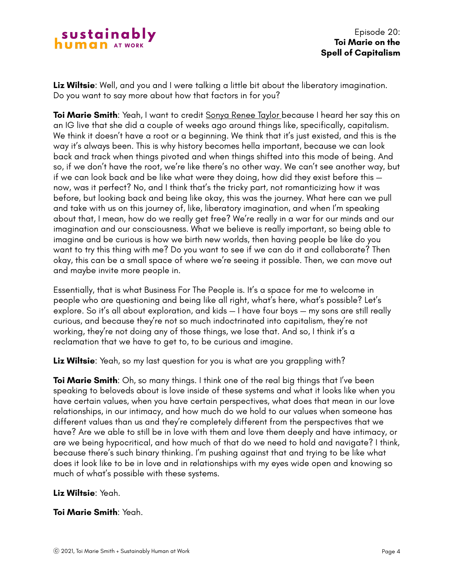

**Liz Wiltsie**: Well, and you and I were talking a little bit about the liberatory imagination. Do you want to say more about how that factors in for you?

**Toi Marie Smith**: Yeah, I want to credit [Sonya Renee Taylor b](https://www.sonyareneetaylor.com/)ecause I heard her say this on an IG live that she did a couple of weeks ago around things like, specifically, capitalism. We think it doesn't have a root or a beginning. We think that it's just existed, and this is the way it's always been. This is why history becomes hella important, because we can look back and track when things pivoted and when things shifted into this mode of being. And so, if we don't have the root, we're like there's no other way. We can't see another way, but if we can look back and be like what were they doing, how did they exist before this now, was it perfect? No, and I think that's the tricky part, not romanticizing how it was before, but looking back and being like okay, this was the journey. What here can we pull and take with us on this journey of, like, liberatory imagination, and when I'm speaking about that, I mean, how do we really get free? We're really in a war for our minds and our imagination and our consciousness. What we believe is really important, so being able to imagine and be curious is how we birth new worlds, then having people be like do you want to try this thing with me? Do you want to see if we can do it and collaborate? Then okay, this can be a small space of where we're seeing it possible. Then, we can move out and maybe invite more people in.

Essentially, that is what Business For The People is. It's a space for me to welcome in people who are questioning and being like all right, what's here, what's possible? Let's explore. So it's all about exploration, and kids — I have four boys — my sons are still really curious, and because they're not so much indoctrinated into capitalism, they're not working, they're not doing any of those things, we lose that. And so, I think it's a reclamation that we have to get to, to be curious and imagine.

**Liz Wiltsie**: Yeah, so my last question for you is what are you grappling with?

**Toi Marie Smith:** Oh, so many things. I think one of the real big things that I've been speaking to beloveds about is love inside of these systems and what it looks like when you have certain values, when you have certain perspectives, what does that mean in our love relationships, in our intimacy, and how much do we hold to our values when someone has different values than us and they're completely different from the perspectives that we have? Are we able to still be in love with them and love them deeply and have intimacy, or are we being hypocritical, and how much of that do we need to hold and navigate? I think, because there's such binary thinking. I'm pushing against that and trying to be like what does it look like to be in love and in relationships with my eyes wide open and knowing so much of what's possible with these systems.

### **Liz Wiltsie**: Yeah.

### **Toi Marie Smith**: Yeah.